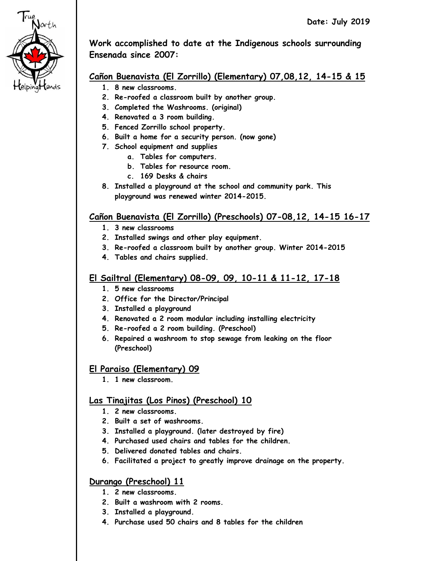

**Work accomplished to date at the Indigenous schools surrounding Ensenada since 2007:**

# **Cañon Buenavista (El Zorrillo) (Elementary) 07,08,12, 14-15 & 15**

- **1. 8 new classrooms.**
- **2. Re-roofed a classroom built by another group.**
- **3. Completed the Washrooms. (original)**
- **4. Renovated a 3 room building.**
- **5. Fenced Zorrillo school property.**
- **6. Built a home for a security person. (now gone)**
- **7. School equipment and supplies**
	- **a. Tables for computers.**
	- **b. Tables for resource room.**
	- **c. 169 Desks & chairs**
- **8. Installed a playground at the school and community park. This playground was renewed winter 2014-2015.**

### **Cañon Buenavista (El Zorrillo) (Preschools) 07-08,12, 14-15 16-17**

- **1. 3 new classrooms**
- **2. Installed swings and other play equipment.**
- **3. Re-roofed a classroom built by another group. Winter 2014-2015**
- **4. Tables and chairs supplied.**

### **El Sailtral (Elementary) 08-09, 09, 10-11 & 11-12, 17-18**

- **1. 5 new classrooms**
- **2. Office for the Director/Principal**
- **3. Installed a playground**
- **4. Renovated a 2 room modular including installing electricity**
- **5. Re-roofed a 2 room building. (Preschool)**
- **6. Repaired a washroom to stop sewage from leaking on the floor (Preschool)**

### **El Paraiso (Elementary) 09**

**1. 1 new classroom.** 

#### **Las Tinajitas (Los Pinos) (Preschool) 10**

- **1. 2 new classrooms.**
- **2. Built a set of washrooms.**
- **3. Installed a playground. (later destroyed by fire)**
- **4. Purchased used chairs and tables for the children.**
- **5. Delivered donated tables and chairs.**
- **6. Facilitated a project to greatly improve drainage on the property.**

### **Durango (Preschool) 11**

- **1. 2 new classrooms.**
- **2. Built a washroom with 2 rooms.**
- **3. Installed a playground.**
- **4. Purchase used 50 chairs and 8 tables for the children**